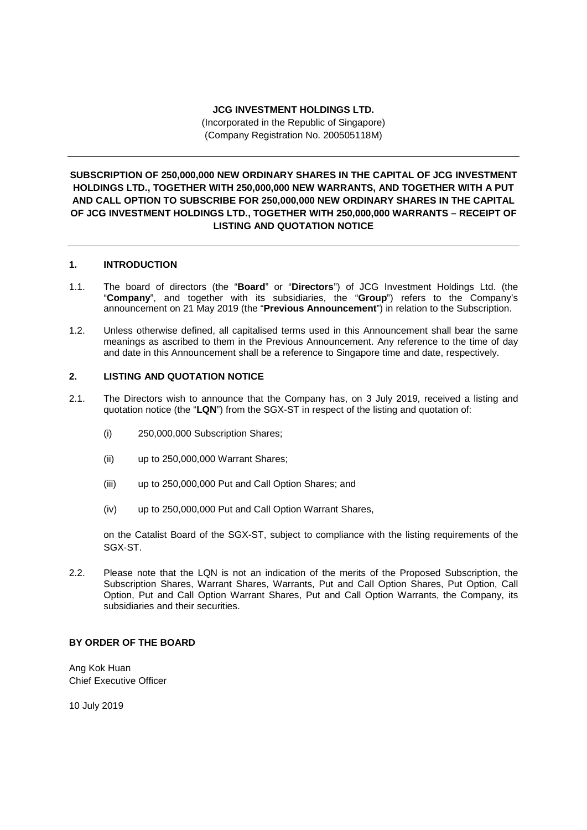### **JCG INVESTMENT HOLDINGS LTD.**

(Incorporated in the Republic of Singapore) (Company Registration No. 200505118M)

# **SUBSCRIPTION OF 250,000,000 NEW ORDINARY SHARES IN THE CAPITAL OF JCG INVESTMENT HOLDINGS LTD., TOGETHER WITH 250,000,000 NEW WARRANTS, AND TOGETHER WITH A PUT AND CALL OPTION TO SUBSCRIBE FOR 250,000,000 NEW ORDINARY SHARES IN THE CAPITAL OF JCG INVESTMENT HOLDINGS LTD., TOGETHER WITH 250,000,000 WARRANTS – RECEIPT OF LISTING AND QUOTATION NOTICE**

## **1. INTRODUCTION**

- 1.1. The board of directors (the "**Board**" or "**Directors**") of JCG Investment Holdings Ltd. (the "**Company**", and together with its subsidiaries, the "**Group**") refers to the Company's announcement on 21 May 2019 (the "**Previous Announcement**") in relation to the Subscription.
- 1.2. Unless otherwise defined, all capitalised terms used in this Announcement shall bear the same meanings as ascribed to them in the Previous Announcement. Any reference to the time of day and date in this Announcement shall be a reference to Singapore time and date, respectively.

### **2. LISTING AND QUOTATION NOTICE**

- 2.1. The Directors wish to announce that the Company has, on 3 July 2019, received a listing and quotation notice (the "**LQN**") from the SGX-ST in respect of the listing and quotation of:
	- (i) 250,000,000 Subscription Shares;
	- (ii) up to 250,000,000 Warrant Shares;
	- (iii) up to 250,000,000 Put and Call Option Shares; and
	- (iv) up to 250,000,000 Put and Call Option Warrant Shares,

on the Catalist Board of the SGX-ST, subject to compliance with the listing requirements of the SGX-ST.

2.2. Please note that the LQN is not an indication of the merits of the Proposed Subscription, the Subscription Shares, Warrant Shares, Warrants, Put and Call Option Shares, Put Option, Call Option, Put and Call Option Warrant Shares, Put and Call Option Warrants, the Company, its subsidiaries and their securities.

## **BY ORDER OF THE BOARD**

Ang Kok Huan Chief Executive Officer

10 July 2019